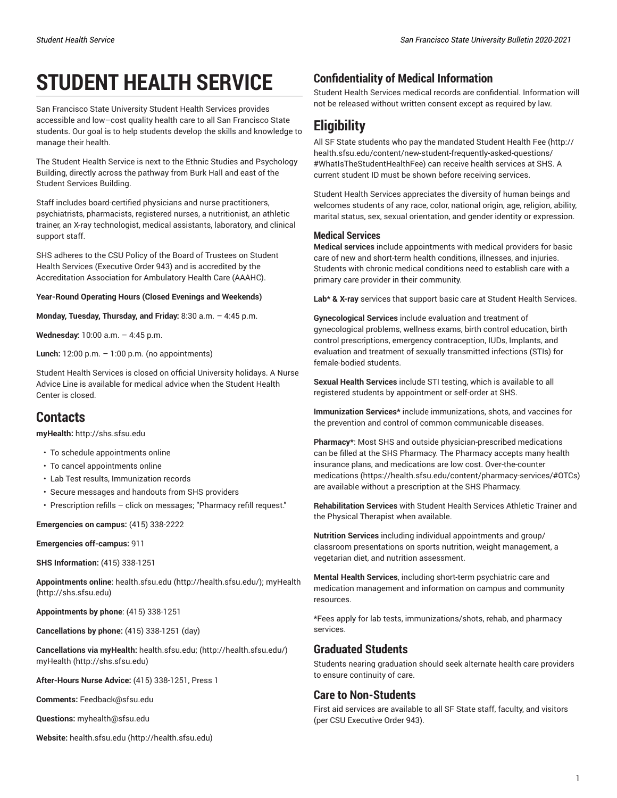# **STUDENT HEALTH SERVICE**

San Francisco State University Student Health Services provides accessible and low–cost quality health care to all San Francisco State students. Our goal is to help students develop the skills and knowledge to manage their health.

The Student Health Service is next to the Ethnic Studies and Psychology Building, directly across the pathway from Burk Hall and east of the Student Services Building.

Staff includes board-certified physicians and nurse practitioners, psychiatrists, pharmacists, registered nurses, a nutritionist, an athletic trainer, an X-ray technologist, medical assistants, laboratory, and clinical support staff.

SHS adheres to the CSU Policy of the Board of Trustees on Student Health Services (Executive Order 943) and is accredited by the Accreditation Association for Ambulatory Health Care (AAAHC).

**Year-Round Operating Hours (Closed Evenings and Weekends)**

**Monday, Tuesday, Thursday, and Friday:** 8:30 a.m. – 4:45 p.m.

**Wednesday:** 10:00 a.m. – 4:45 p.m.

**Lunch:** 12:00 p.m. – 1:00 p.m. (no appointments)

Student Health Services is closed on official University holidays. A Nurse Advice Line is available for medical advice when the Student Health Center is closed.

## **Contacts**

**myHealth:** <http://shs.sfsu.edu>

- To schedule appointments online
- To cancel appointments online
- Lab Test results, Immunization records
- Secure messages and handouts from SHS providers
- Prescription refills click on messages; "Pharmacy refill request."

**Emergencies on campus:** (415) 338-2222

**Emergencies off-campus:** 911

**SHS Information:** (415) 338-1251

**Appointments online**: [health.sfsu.edu](http://health.sfsu.edu/) [\(http://health.sfsu.edu/](http://health.sfsu.edu/)); [myHealth](http://shs.sfsu.edu) (<http://shs.sfsu.edu>)

**Appointments by phone**: (415) 338-1251

**Cancellations by phone:** (415) 338-1251 (day)

**Cancellations via myHealth:** [health.sfsu.edu;](http://health.sfsu.edu/) (<http://health.sfsu.edu/>) [myHealth \(http://shs.sfsu.edu\)](http://shs.sfsu.edu)

**After-Hours Nurse Advice:** (415) 338-1251, Press 1

**Comments:** [Feedback@sfsu.edu](mailto:Feedback@sfsu.edu)

**Questions:** [myhealth@sfsu.edu](mailto:myhealth@sfsu.edu)

**Website:** [health.sfsu.edu](http://health.sfsu.edu) ([http://health.sfsu.edu\)](http://health.sfsu.edu)

### **Confidentiality of Medical Information**

Student Health Services medical records are confidential. Information will not be released without written consent except as required by law.

# **Eligibility**

All SF State students who pay the mandated [Student](http://health.sfsu.edu/content/new-student-frequently-asked-questions/#WhatIsTheStudentHealthFee) Health Fee ([http://](http://health.sfsu.edu/content/new-student-frequently-asked-questions/#WhatIsTheStudentHealthFee) [health.sfsu.edu/content/new-student-frequently-asked-questions/](http://health.sfsu.edu/content/new-student-frequently-asked-questions/#WhatIsTheStudentHealthFee) [#WhatIsTheStudentHealthFee](http://health.sfsu.edu/content/new-student-frequently-asked-questions/#WhatIsTheStudentHealthFee)) can receive health services at SHS. A current student ID must be shown before receiving services.

Student Health Services appreciates the diversity of human beings and welcomes students of any race, color, national origin, age, religion, ability, marital status, sex, sexual orientation, and gender identity or expression.

#### **Medical Services**

**Medical services** include appointments with medical providers for basic care of new and short-term health conditions, illnesses, and injuries. Students with chronic medical conditions need to establish care with a primary care provider in their community.

**Lab\* & X-ray** services that support basic care at Student Health Services.

**Gynecological Services** include evaluation and treatment of gynecological problems, wellness exams, birth control education, birth control prescriptions, emergency contraception, IUDs, Implants, and evaluation and treatment of sexually transmitted infections (STIs) for female-bodied students.

**Sexual Health Services** include STI testing, which is available to all registered students by appointment or self-order at SHS.

**Immunization Services\*** include immunizations, shots, and vaccines for the prevention and control of common communicable diseases.

**Pharmacy\***: Most SHS and outside physician-prescribed medications can be filled at the SHS Pharmacy. The Pharmacy accepts many health insurance plans, and medications are low cost. [Over-the-counter](https://health.sfsu.edu/content/pharmacy-services/#OTCs) [medications \(https://health.sfsu.edu/content/pharmacy-services/#OTCs](https://health.sfsu.edu/content/pharmacy-services/#OTCs)) are available without a prescription at the SHS Pharmacy.

**Rehabilitation Services** with Student Health Services Athletic Trainer and the Physical Therapist when available.

**Nutrition Services** including individual appointments and group/ classroom presentations on sports nutrition, weight management, a vegetarian diet, and nutrition assessment.

**Mental Health Services**, including short-term psychiatric care and medication management and information on campus and community resources.

\*Fees apply for lab tests, immunizations/shots, rehab, and pharmacy services.

#### **Graduated Students**

Students nearing graduation should seek alternate health care providers to ensure continuity of care.

#### **Care to Non-Students**

First aid services are available to all SF State staff, faculty, and visitors (per CSU Executive Order 943).